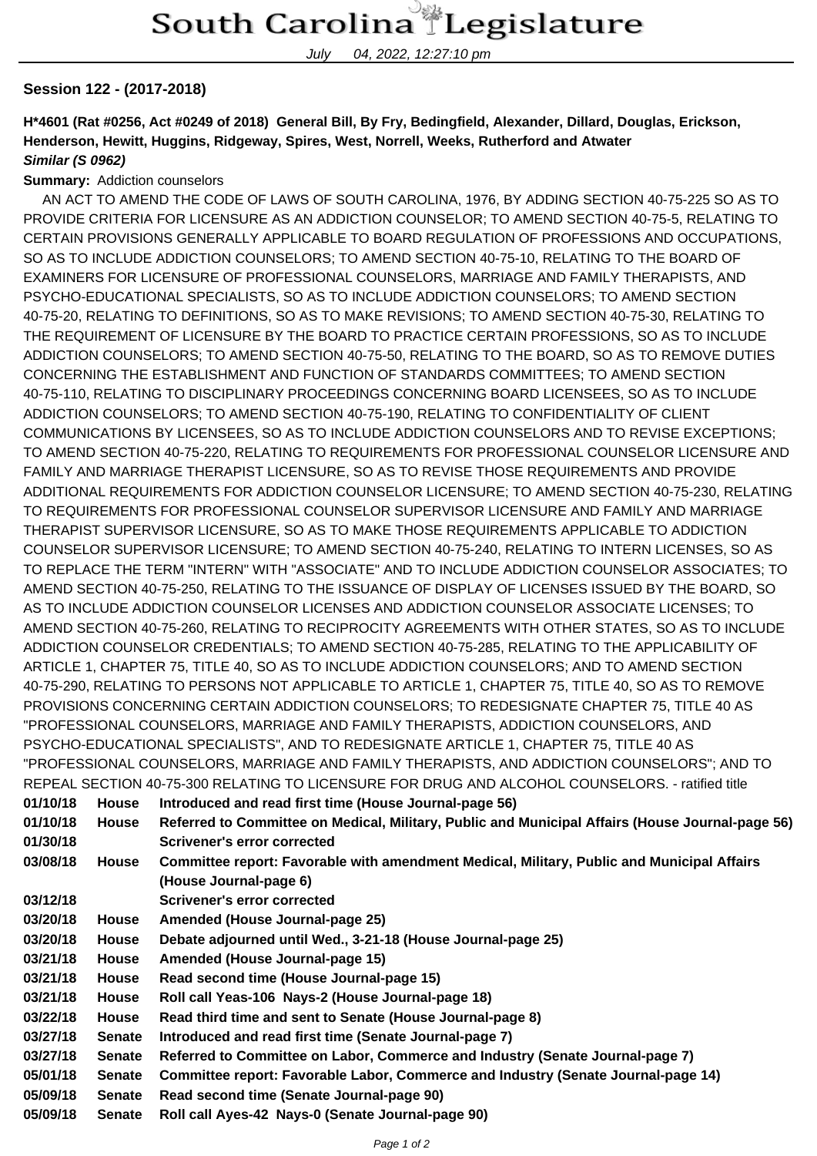## South Carolina Legislature

July 04, 2022, 12:27:10 pm

## **Session 122 - (2017-2018)**

**H\*4601 (Rat #0256, Act #0249 of 2018) General Bill, By Fry, Bedingfield, Alexander, Dillard, Douglas, Erickson, Henderson, Hewitt, Huggins, Ridgeway, Spires, West, Norrell, Weeks, Rutherford and Atwater Similar (S 0962)**

## **Summary:** Addiction counselors

 AN ACT TO AMEND THE CODE OF LAWS OF SOUTH CAROLINA, 1976, BY ADDING SECTION 40-75-225 SO AS TO PROVIDE CRITERIA FOR LICENSURE AS AN ADDICTION COUNSELOR; TO AMEND SECTION 40-75-5, RELATING TO CERTAIN PROVISIONS GENERALLY APPLICABLE TO BOARD REGULATION OF PROFESSIONS AND OCCUPATIONS, SO AS TO INCLUDE ADDICTION COUNSELORS; TO AMEND SECTION 40-75-10, RELATING TO THE BOARD OF EXAMINERS FOR LICENSURE OF PROFESSIONAL COUNSELORS, MARRIAGE AND FAMILY THERAPISTS, AND PSYCHO-EDUCATIONAL SPECIALISTS, SO AS TO INCLUDE ADDICTION COUNSELORS; TO AMEND SECTION 40-75-20, RELATING TO DEFINITIONS, SO AS TO MAKE REVISIONS; TO AMEND SECTION 40-75-30, RELATING TO THE REQUIREMENT OF LICENSURE BY THE BOARD TO PRACTICE CERTAIN PROFESSIONS, SO AS TO INCLUDE ADDICTION COUNSELORS; TO AMEND SECTION 40-75-50, RELATING TO THE BOARD, SO AS TO REMOVE DUTIES CONCERNING THE ESTABLISHMENT AND FUNCTION OF STANDARDS COMMITTEES; TO AMEND SECTION 40-75-110, RELATING TO DISCIPLINARY PROCEEDINGS CONCERNING BOARD LICENSEES, SO AS TO INCLUDE ADDICTION COUNSELORS; TO AMEND SECTION 40-75-190, RELATING TO CONFIDENTIALITY OF CLIENT COMMUNICATIONS BY LICENSEES, SO AS TO INCLUDE ADDICTION COUNSELORS AND TO REVISE EXCEPTIONS; TO AMEND SECTION 40-75-220, RELATING TO REQUIREMENTS FOR PROFESSIONAL COUNSELOR LICENSURE AND FAMILY AND MARRIAGE THERAPIST LICENSURE, SO AS TO REVISE THOSE REQUIREMENTS AND PROVIDE ADDITIONAL REQUIREMENTS FOR ADDICTION COUNSELOR LICENSURE; TO AMEND SECTION 40-75-230, RELATING TO REQUIREMENTS FOR PROFESSIONAL COUNSELOR SUPERVISOR LICENSURE AND FAMILY AND MARRIAGE THERAPIST SUPERVISOR LICENSURE, SO AS TO MAKE THOSE REQUIREMENTS APPLICABLE TO ADDICTION COUNSELOR SUPERVISOR LICENSURE; TO AMEND SECTION 40-75-240, RELATING TO INTERN LICENSES, SO AS TO REPLACE THE TERM "INTERN" WITH "ASSOCIATE" AND TO INCLUDE ADDICTION COUNSELOR ASSOCIATES; TO AMEND SECTION 40-75-250, RELATING TO THE ISSUANCE OF DISPLAY OF LICENSES ISSUED BY THE BOARD, SO AS TO INCLUDE ADDICTION COUNSELOR LICENSES AND ADDICTION COUNSELOR ASSOCIATE LICENSES; TO AMEND SECTION 40-75-260, RELATING TO RECIPROCITY AGREEMENTS WITH OTHER STATES, SO AS TO INCLUDE ADDICTION COUNSELOR CREDENTIALS; TO AMEND SECTION 40-75-285, RELATING TO THE APPLICABILITY OF ARTICLE 1, CHAPTER 75, TITLE 40, SO AS TO INCLUDE ADDICTION COUNSELORS; AND TO AMEND SECTION 40-75-290, RELATING TO PERSONS NOT APPLICABLE TO ARTICLE 1, CHAPTER 75, TITLE 40, SO AS TO REMOVE PROVISIONS CONCERNING CERTAIN ADDICTION COUNSELORS; TO REDESIGNATE CHAPTER 75, TITLE 40 AS "PROFESSIONAL COUNSELORS, MARRIAGE AND FAMILY THERAPISTS, ADDICTION COUNSELORS, AND PSYCHO-EDUCATIONAL SPECIALISTS", AND TO REDESIGNATE ARTICLE 1, CHAPTER 75, TITLE 40 AS "PROFESSIONAL COUNSELORS, MARRIAGE AND FAMILY THERAPISTS, AND ADDICTION COUNSELORS"; AND TO REPEAL SECTION 40-75-300 RELATING TO LICENSURE FOR DRUG AND ALCOHOL COUNSELORS. - ratified title

|               | ולבו בחב טבט ווטוז אטיו טיסטע ולבנח וווזט דט בוטבוזטטולב דטול טולטט חוזט חבטטו וטב טטטוזטבבטולט. • ומווופט ווופ |  |  |
|---------------|-----------------------------------------------------------------------------------------------------------------|--|--|
| <b>House</b>  | Introduced and read first time (House Journal-page 56)                                                          |  |  |
| <b>House</b>  | Referred to Committee on Medical, Military, Public and Municipal Affairs (House Journal-page 56)                |  |  |
|               | Scrivener's error corrected                                                                                     |  |  |
| House         | Committee report: Favorable with amendment Medical, Military, Public and Municipal Affairs                      |  |  |
|               | (House Journal-page 6)                                                                                          |  |  |
|               | <b>Scrivener's error corrected</b>                                                                              |  |  |
| <b>House</b>  | Amended (House Journal-page 25)                                                                                 |  |  |
| <b>House</b>  | Debate adjourned until Wed., 3-21-18 (House Journal-page 25)                                                    |  |  |
| <b>House</b>  | Amended (House Journal-page 15)                                                                                 |  |  |
| <b>House</b>  | Read second time (House Journal-page 15)                                                                        |  |  |
| <b>House</b>  | Roll call Yeas-106 Nays-2 (House Journal-page 18)                                                               |  |  |
| <b>House</b>  | Read third time and sent to Senate (House Journal-page 8)                                                       |  |  |
| <b>Senate</b> | Introduced and read first time (Senate Journal-page 7)                                                          |  |  |
| <b>Senate</b> | Referred to Committee on Labor, Commerce and Industry (Senate Journal-page 7)                                   |  |  |
| <b>Senate</b> | Committee report: Favorable Labor, Commerce and Industry (Senate Journal-page 14)                               |  |  |
| <b>Senate</b> | Read second time (Senate Journal-page 90)                                                                       |  |  |
| <b>Senate</b> | Roll call Ayes-42 Nays-0 (Senate Journal-page 90)                                                               |  |  |
|               | Page 1 of 2                                                                                                     |  |  |
|               |                                                                                                                 |  |  |